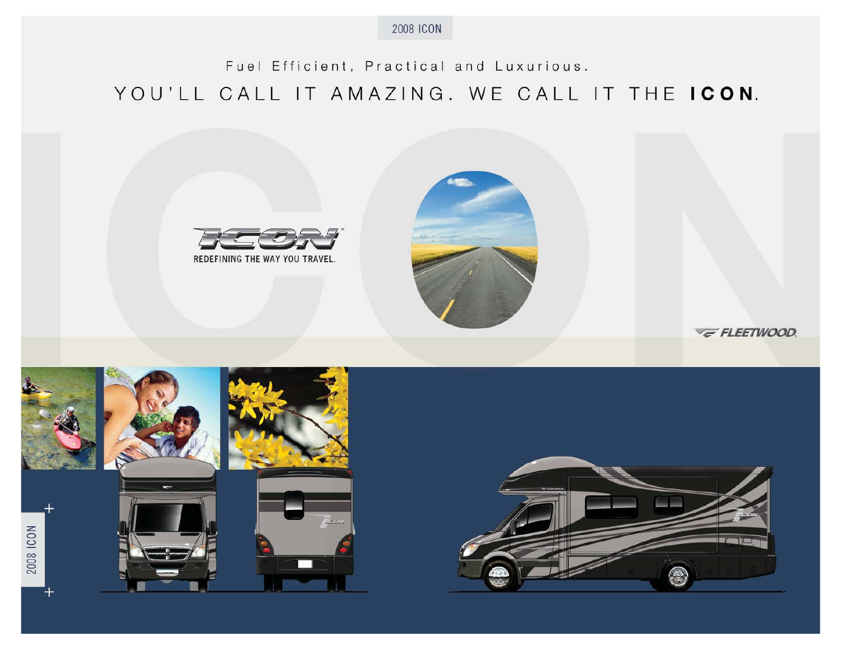

# Fuel Efficient, Practical and Luxurious. YOU'LL CALL IT AMAZING. WE CALL IT THE ICON.





2008 ICON



E FLEETWOOD.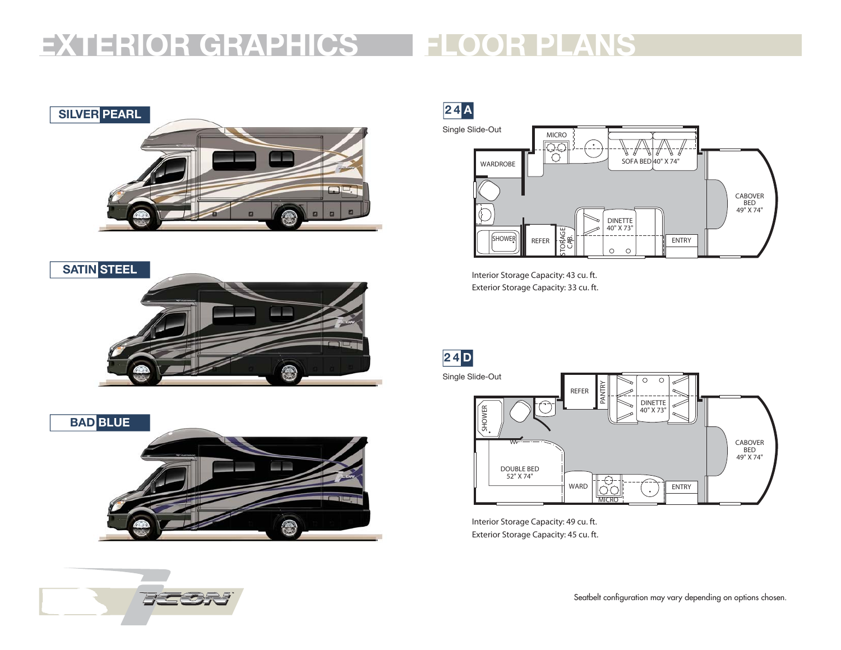# **FLOOR PLANSEXTERIOR GRAPHICS**







**2 4 A** Single Slide-Out



Interior Storage Capacity: 43 cu. ft. Exterior Storage Capacity: 33 cu. ft.

**2 4 D**



Interior Storage Capacity: 49 cu. ft. Exterior Storage Capacity: 45 cu. ft.



Seatbelt configuration may vary depending on options chosen.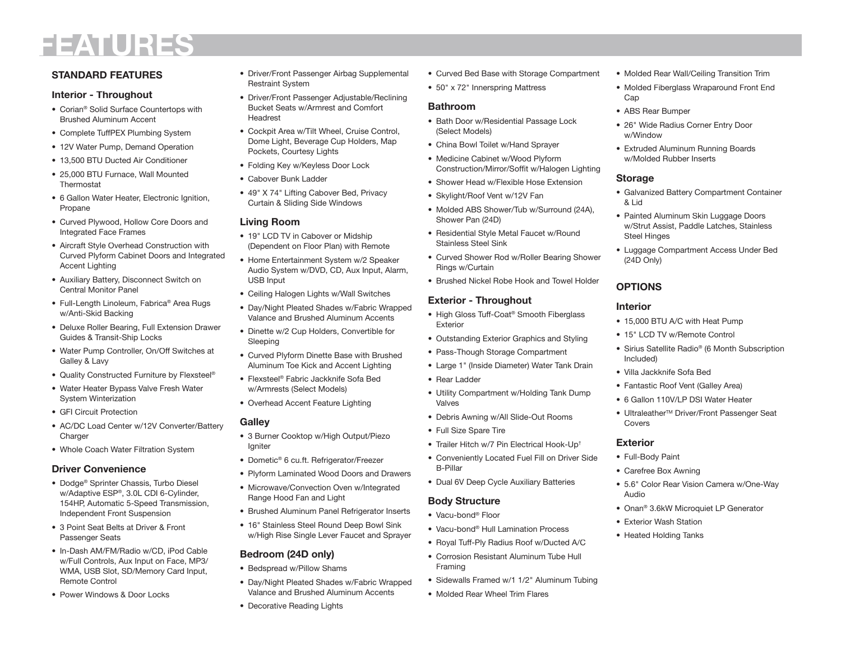# **FEATURES**

# **STANDARD FEATURES**

#### **Interior - Throughout**

- Corian<sup>®</sup> Solid Surface Countertops with Brushed Alu minum Accent
- Complete TuffPEX Plumbing System
- 12V Water Pump, Demand Operation
- 13,500 BTU Ducted Air Conditioner
- 25,000 BTU Furnace, Wall Mounted Thermostat
- 6 Gallon Water Heater, Electronic Ignition, Propane
- Curved Plywood, Hollow Core Doors and Integrated Face Frames
- Aircraft Style Overhead Construction withCurved Plyform Cabinet Doors and Integrated Accent Lighting
- Auxiliary Battery, Disconnect Switch on Central Monitor Panel
- Full-Length Linoleum, Fabrica® Area Rugs w/Anti-Skid Backing
- Deluxe Roller Bearing, Full Extension Drawer Guides & Transit-Ship Locks
- Water Pump Controller, On/Off Switches at Galley & Lavy
- Quality Constructed Furniture by Flexsteel ®
- Water Heater Bypass Valve Fresh Water System Winterization
- GFI Circuit Protection
- AC/DC Load Center w/12V Converter/Battery **Charger**
- Whole Coach Water Filtration System

### **Driver Convenience**

- Dodge® Sprinter Chassis, Turbo Diesel w/Adaptive ESP®, 3.0L CDI 6-Cylinder, 154HP, Automatic 5-Speed Transmission, Independent Front Suspension
- 3 Point Seat Belts at Driver & Front Passenger Seats
- In-Dash AM/FM/Radio w/CD, iPod Cable w/Full Controls, Aux Input on Face, MP3/ WMA, USB Slot, SD/Memory Card Input, Remote Control
- Power Windows & Door Locks
- Driver/Front Passenger Airbag Supplemental Restraint Syste m
- Driver/Front Passenger Adjustable/Reclining Bucket Seats w/Armrest and ComfortHeadrest
- Cockpit Area w/Tilt Wheel, Cruise Control, Dome Light, Beverage Cup Holders, Map Pockets, Courtesy Lights
- Folding Key w/Keyless Door Lock
- Cabover Bunk Ladder
- 49" X 74" Lifting Cabover Bed, Privacy Curtain & Sliding Side Windows

#### **Living Room**

- 19" LCD TV in Cabover or Midship (Dependent on Floor Plan) with Remote
- Home Entertainment System w/2 Speaker Audio System w/DVD, CD, Aux Input, Alarm, USB Input
- Ceiling Halogen Lights w/Wall Switches
- Day/Night Pleated Shades w/Fabric Wrapped Valance and Brushed Alu minum Accents
- Dinette w/2 Cup Holders, Convertible forSleeping
- Curved Plyform Dinette Base with Brushed Aluminum Toe Kick and Accent Lighting
- Flexsteel® Fabric Jackknife Sofa Bedw/Armrests (Select Models)
- Overhead Accent Feature Lighting
- **Galley**
	-
- 3 Burner Cooktop w/High Output/Piezo Igniter
- Dometic® 6 cu.ft. Refrigerator/Freezer
- Plyform Laminated Wood Doors and Drawers
- Microwave/Convection Oven w/Integrated Range Hood Fan and Light
- Brushed Aluminum Panel Refrigerator Inserts
- 16" Stainless Steel Round Deep Bowl Sink w/High Rise Single Lever Faucet and Sprayer

# **Bedroom (24D only)**

- Bedspread w/Pillow Shams
- Day/Night Pleated Shades w/Fabric Wrapped Valance and Brushed Aluminum Accents
- Decorative Reading Lights
- Curved Bed Base with Storage Compartment
- 50" x 72" Innerspring Mattress

#### **Bathroom**

- Bath Door w/Residential Passage Lock (Select Models)
- China Bowl Toilet w/Hand Sprayer
- Medicine Cabinet w/Wood Plyform Construction/Mirror/Soffit w/Halogen Lighting
- Shower Head w/Flexible Hose Extension
- Skylight/Roof Vent w/12V Fan
- Molded ABS Shower/Tub w/Surround (24A), Shower Pan (24D)
- Residential Style Metal Faucet w/Round Stainless Steel Sink
- Curved Shower Rod w/Roller Bearing Shower Rings w/Curtain
- Brushed Nickel Robe Hook and Towel Holder

# **Exterior - Throughout**

- High Gloss Tuff-Coat ® Smooth Fiberglass Exterior
- Outstanding Exterior Graphics and Styling
- Pass-Though Storage Compartment
- Large 1" (Inside Diameter) Water Tank Drain
- Rear Ladder
- Utility Compartment w/Holding Tank Dump Valves
- Debris Awning w/All Slide-Out Rooms
- Full Size Spare Tire
- Trailer Hitch w/7 Pin Electrical Hook-Up†
- Conveniently Located Fuel Fill on Driver Side B-Pillar
- Dual 6V Deep Cycle Auxiliary Batteries

# **Bod y Structur e**

- Vacu-bond® Floor
- Vacu-bond® Hull Lamination Process
- Royal Tuff-Ply Radius Roof w/Ducted A/C
- Corrosion Resistant Aluminum Tube HullFraming
- Sidewalls Framed w/1 1/2" Aluminum Tubing
- Molded Rear Wheel Trim Flares
- Molded Rear Wall/Ceiling Transition Tri m
- Molded Fiberglass Wraparound Front End Cap
- ABS Rear Bumper
- 26" Wide Radius Corner Entry Door w/Window
- Extruded Aluminum Running Boards w/Molded Rubber Inserts

#### **Storag e**

- Galvanized Battery Compartment Container & Lid
- Painted Aluminum Skin Luggage Doors w/Strut Assist, Paddle Latches, Stainless Steel Hinges
- Luggage Compartment Access Under Bed (24D Only)

# **OPTIONS**

### **Interior**

Covers**Exterior**• Full-Body Paint • Carefree Box Awning

Audio

• Exterior Wash Station• Heated Holding Tanks

- 15,000 BTU A/C with Heat Pump
- 15" LCD TV w/Remote Control
- Sirius Satellite Radio® (6 Month Subscription Included)
- Villa Jackknife Sofa Bed
- Fantastic Roof Vent (Galley Area)
- 6 Gallon 110V/LP DSI Water Heater

● Ultraleather<sup>™</sup> Driver/Front Passenger Seat

• 5.6" Color Rear Vision Camera w/One-Way

• Onan® 3.6kW Microquiet LP Generator